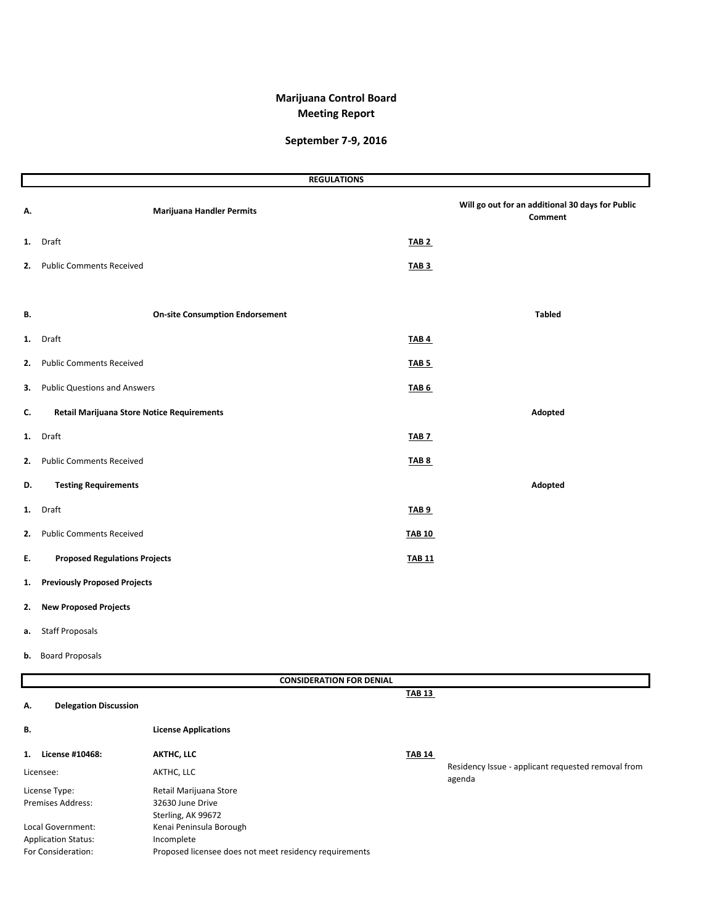## **Marijuana Control Board Meeting Report**

## **September 7-9, 2016**

|    | <b>REGULATIONS</b>                         |                  |                                                             |
|----|--------------------------------------------|------------------|-------------------------------------------------------------|
| Α. | <b>Marijuana Handler Permits</b>           |                  | Will go out for an additional 30 days for Public<br>Comment |
| 1. | Draft                                      | TAB <sub>2</sub> |                                                             |
| 2. | <b>Public Comments Received</b>            | $TABLE 3$        |                                                             |
|    |                                            |                  |                                                             |
| В. | <b>On-site Consumption Endorsement</b>     |                  | <b>Tabled</b>                                               |
| 1. | Draft                                      | TAB <sub>4</sub> |                                                             |
| 2. | <b>Public Comments Received</b>            | TAB <sub>5</sub> |                                                             |
| З. | <b>Public Questions and Answers</b>        | <b>TAB 6</b>     |                                                             |
| c. | Retail Marijuana Store Notice Requirements |                  | Adopted                                                     |
| 1. | Draft                                      | TAB <sub>7</sub> |                                                             |
| 2. | <b>Public Comments Received</b>            | TAB <sub>8</sub> |                                                             |
| D. | <b>Testing Requirements</b>                |                  | Adopted                                                     |
| 1. | Draft                                      | TAB <sub>9</sub> |                                                             |
| 2. | <b>Public Comments Received</b>            | <b>TAB 10</b>    |                                                             |
| Ε. | <b>Proposed Regulations Projects</b>       | <b>TAB 11</b>    |                                                             |
| 1. | <b>Previously Proposed Projects</b>        |                  |                                                             |
| 2. | <b>New Proposed Projects</b>               |                  |                                                             |
| а. | <b>Staff Proposals</b>                     |                  |                                                             |
| b. | <b>Board Proposals</b>                     |                  |                                                             |
|    | <b>CONSIDERATION FOR DENIAL</b>            | --- --           |                                                             |

| <b>Delegation Discussion</b><br>А. |                                                        | <b>TAB 13</b> |                                                              |
|------------------------------------|--------------------------------------------------------|---------------|--------------------------------------------------------------|
|                                    |                                                        |               |                                                              |
| <b>B.</b>                          | <b>License Applications</b>                            |               |                                                              |
| License #10468:<br>1.              | <b>AKTHC, LLC</b>                                      | <b>TAB 14</b> |                                                              |
| Licensee:                          | AKTHC, LLC                                             |               | Residency Issue - applicant requested removal from<br>agenda |
| License Type:                      | Retail Marijuana Store                                 |               |                                                              |
| <b>Premises Address:</b>           | 32630 June Drive                                       |               |                                                              |
|                                    | Sterling, AK 99672                                     |               |                                                              |
| <b>Local Government:</b>           | Kenai Peninsula Borough                                |               |                                                              |
| <b>Application Status:</b>         | Incomplete                                             |               |                                                              |
| For Consideration:                 | Proposed licensee does not meet residency requirements |               |                                                              |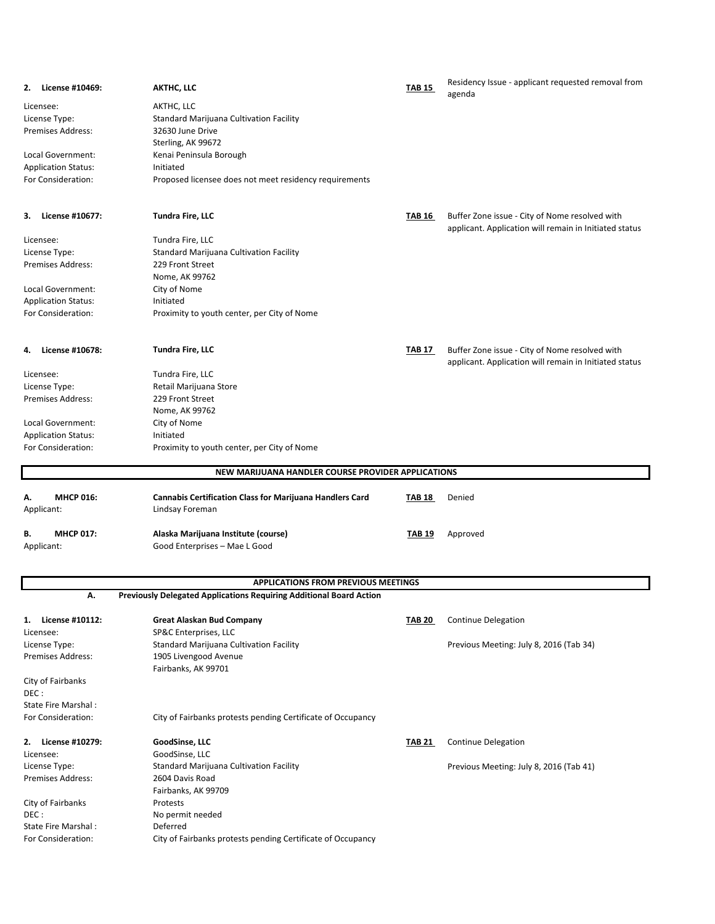| <b>License #10469:</b><br>2. | <b>AKTHC, LLC</b>                                                          | <b>TAB 15</b> | Residency Issue - applicant requested removal from<br>agenda                                             |
|------------------------------|----------------------------------------------------------------------------|---------------|----------------------------------------------------------------------------------------------------------|
| Licensee:                    | AKTHC, LLC                                                                 |               |                                                                                                          |
| License Type:                | Standard Marijuana Cultivation Facility                                    |               |                                                                                                          |
| Premises Address:            | 32630 June Drive                                                           |               |                                                                                                          |
|                              | Sterling, AK 99672                                                         |               |                                                                                                          |
| Local Government:            | Kenai Peninsula Borough                                                    |               |                                                                                                          |
| <b>Application Status:</b>   | Initiated                                                                  |               |                                                                                                          |
| For Consideration:           | Proposed licensee does not meet residency requirements                     |               |                                                                                                          |
| License #10677:<br>3.        | <b>Tundra Fire, LLC</b>                                                    | TAB 16        | Buffer Zone issue - City of Nome resolved with                                                           |
|                              |                                                                            |               | applicant. Application will remain in Initiated status                                                   |
| Licensee:                    | Tundra Fire, LLC                                                           |               |                                                                                                          |
| License Type:                | Standard Marijuana Cultivation Facility                                    |               |                                                                                                          |
| Premises Address:            | 229 Front Street                                                           |               |                                                                                                          |
|                              | Nome, AK 99762                                                             |               |                                                                                                          |
| Local Government:            | City of Nome                                                               |               |                                                                                                          |
| <b>Application Status:</b>   | Initiated                                                                  |               |                                                                                                          |
| For Consideration:           | Proximity to youth center, per City of Nome                                |               |                                                                                                          |
| License #10678:<br>4.        | Tundra Fire, LLC                                                           | <b>TAB 17</b> | Buffer Zone issue - City of Nome resolved with<br>applicant. Application will remain in Initiated status |
| Licensee:                    | Tundra Fire, LLC                                                           |               |                                                                                                          |
| License Type:                | Retail Marijuana Store                                                     |               |                                                                                                          |
| Premises Address:            | 229 Front Street                                                           |               |                                                                                                          |
|                              | Nome, AK 99762                                                             |               |                                                                                                          |
| Local Government:            | City of Nome                                                               |               |                                                                                                          |
| <b>Application Status:</b>   | Initiated                                                                  |               |                                                                                                          |
| For Consideration:           | Proximity to youth center, per City of Nome                                |               |                                                                                                          |
|                              | NEW MARIJUANA HANDLER COURSE PROVIDER APPLICATIONS                         |               |                                                                                                          |
| <b>MHCP 016:</b><br>Α.       | <b>Cannabis Certification Class for Marijuana Handlers Card</b>            | <b>TAB 18</b> | Denied                                                                                                   |
| Applicant:                   | Lindsay Foreman                                                            |               |                                                                                                          |
| в.<br><b>MHCP 017:</b>       | Alaska Marijuana Institute (course)                                        | TAB 19        | Approved                                                                                                 |
| Applicant:                   | Good Enterprises - Mae L Good                                              |               |                                                                                                          |
|                              |                                                                            |               |                                                                                                          |
|                              | APPLICATIONS FROM PREVIOUS MEETINGS                                        |               |                                                                                                          |
| Α.                           | <b>Previously Delegated Applications Requiring Additional Board Action</b> |               |                                                                                                          |
| License #10112:<br>1.        | <b>Great Alaskan Bud Company</b>                                           | <b>TAB 20</b> | <b>Continue Delegation</b>                                                                               |
| Licensee:                    | SP&C Enterprises, LLC                                                      |               |                                                                                                          |
| License Type:                | Standard Marijuana Cultivation Facility                                    |               | Previous Meeting: July 8, 2016 (Tab 34)                                                                  |
| <b>Premises Address:</b>     | 1905 Livengood Avenue                                                      |               |                                                                                                          |
|                              | Fairbanks, AK 99701                                                        |               |                                                                                                          |
| City of Fairbanks            |                                                                            |               |                                                                                                          |
| DEC:                         |                                                                            |               |                                                                                                          |
| State Fire Marshal:          |                                                                            |               |                                                                                                          |
| For Consideration:           | City of Fairbanks protests pending Certificate of Occupancy                |               |                                                                                                          |
| 2. License #10279:           | GoodSinse, LLC                                                             | <b>TAB 21</b> | Continue Delegation                                                                                      |
| Licensee:                    | GoodSinse, LLC                                                             |               |                                                                                                          |
| License Type:                | Standard Marijuana Cultivation Facility                                    |               | Previous Meeting: July 8, 2016 (Tab 41)                                                                  |
| Premises Address:            | 2604 Davis Road                                                            |               |                                                                                                          |
|                              | Fairbanks, AK 99709                                                        |               |                                                                                                          |
| City of Fairbanks            | Protests                                                                   |               |                                                                                                          |
| DEC :                        | No permit needed                                                           |               |                                                                                                          |
| State Fire Marshal:          | Deferred                                                                   |               |                                                                                                          |
| For Consideration:           | City of Fairbanks protests pending Certificate of Occupancy                |               |                                                                                                          |
|                              |                                                                            |               |                                                                                                          |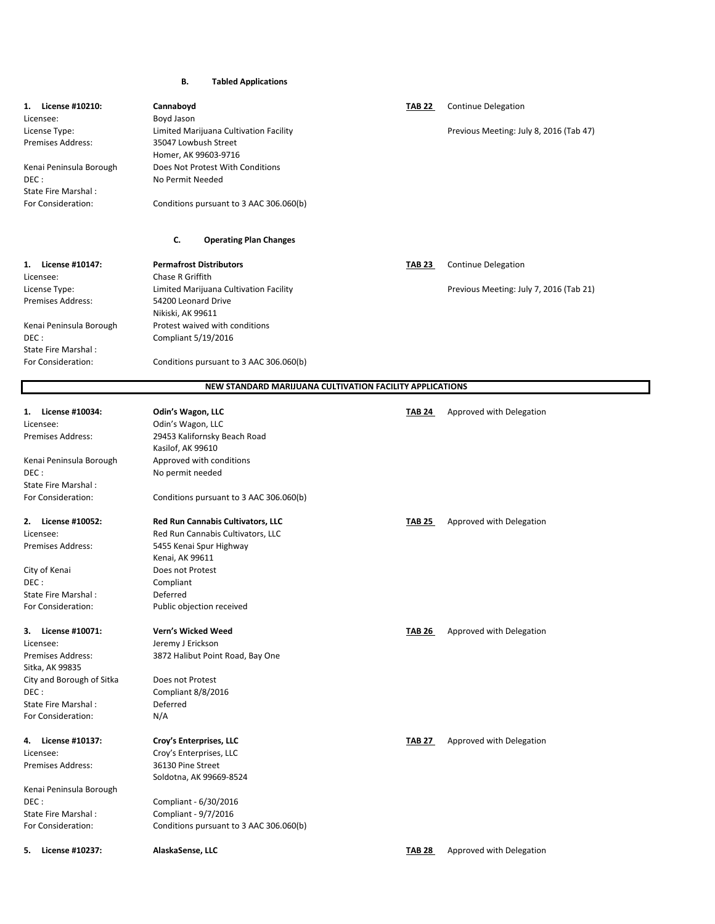|                                    | В.<br><b>Tabled Applications</b>                         |               |                                         |
|------------------------------------|----------------------------------------------------------|---------------|-----------------------------------------|
| 1. License #10210:                 | Cannaboyd                                                | <b>TAB 22</b> | Continue Delegation                     |
| Licensee:                          | Boyd Jason                                               |               |                                         |
| License Type:                      | Limited Marijuana Cultivation Facility                   |               | Previous Meeting: July 8, 2016 (Tab 47) |
| Premises Address:                  | 35047 Lowbush Street                                     |               |                                         |
|                                    | Homer, AK 99603-9716                                     |               |                                         |
| Kenai Peninsula Borough<br>DEC:    | Does Not Protest With Conditions<br>No Permit Needed     |               |                                         |
| State Fire Marshal:                |                                                          |               |                                         |
| For Consideration:                 | Conditions pursuant to 3 AAC 306.060(b)                  |               |                                         |
|                                    | c.<br><b>Operating Plan Changes</b>                      |               |                                         |
| License #10147:<br>1.              | <b>Permafrost Distributors</b>                           | <b>TAB 23</b> | Continue Delegation                     |
| Licensee:                          | Chase R Griffith                                         |               |                                         |
| License Type:                      | Limited Marijuana Cultivation Facility                   |               | Previous Meeting: July 7, 2016 (Tab 21) |
| Premises Address:                  | 54200 Leonard Drive                                      |               |                                         |
|                                    | Nikiski, AK 99611                                        |               |                                         |
| Kenai Peninsula Borough            | Protest waived with conditions                           |               |                                         |
| DEC:                               | Compliant 5/19/2016                                      |               |                                         |
| State Fire Marshal:                |                                                          |               |                                         |
| For Consideration:                 | Conditions pursuant to 3 AAC 306.060(b)                  |               |                                         |
|                                    | NEW STANDARD MARIJUANA CULTIVATION FACILITY APPLICATIONS |               |                                         |
| License #10034:<br>1.              | Odin's Wagon, LLC                                        | TAB 24        | Approved with Delegation                |
| Licensee:                          | Odin's Wagon, LLC                                        |               |                                         |
| Premises Address:                  | 29453 Kalifornsky Beach Road<br>Kasilof, AK 99610        |               |                                         |
| Kenai Peninsula Borough            | Approved with conditions                                 |               |                                         |
| DEC:                               | No permit needed                                         |               |                                         |
| State Fire Marshal:                |                                                          |               |                                         |
| For Consideration:                 | Conditions pursuant to 3 AAC 306.060(b)                  |               |                                         |
| License #10052:<br>2.              | Red Run Cannabis Cultivators, LLC                        | <b>TAB 25</b> | Approved with Delegation                |
| Licensee:                          | Red Run Cannabis Cultivators, LLC                        |               |                                         |
| <b>Premises Address:</b>           | 5455 Kenai Spur Highway                                  |               |                                         |
|                                    | Kenai, AK 99611                                          |               |                                         |
| City of Kenai                      | Does not Protest                                         |               |                                         |
| DEC:                               | Compliant                                                |               |                                         |
| State Fire Marshal:                | Deferred                                                 |               |                                         |
| For Consideration:                 | Public objection received                                |               |                                         |
| 3. License #10071:                 | Vern's Wicked Weed                                       | <b>TAB 26</b> | Approved with Delegation                |
| Licensee:                          | Jeremy J Erickson                                        |               |                                         |
| Premises Address:                  | 3872 Halibut Point Road, Bay One                         |               |                                         |
| Sitka, AK 99835                    |                                                          |               |                                         |
| City and Borough of Sitka<br>DEC : | Does not Protest<br>Compliant 8/8/2016                   |               |                                         |
| State Fire Marshal:                | Deferred                                                 |               |                                         |
| For Consideration:                 | N/A                                                      |               |                                         |
| License #10137:<br>4.              | Croy's Enterprises, LLC                                  | TAB 27        | Approved with Delegation                |
| Licensee:                          | Croy's Enterprises, LLC                                  |               |                                         |
| Premises Address:                  | 36130 Pine Street                                        |               |                                         |
|                                    | Soldotna, AK 99669-8524                                  |               |                                         |
| Kenai Peninsula Borough            |                                                          |               |                                         |

For Consideration: Conditions pursuant to 3 AAC 306.060(b)

DEC : Compliant - 6/30/2016 State Fire Marshal : Compliant - 9/7/2016

**5. License #10237: AlaskaSense, LLC TAB 28** Approved with Delegation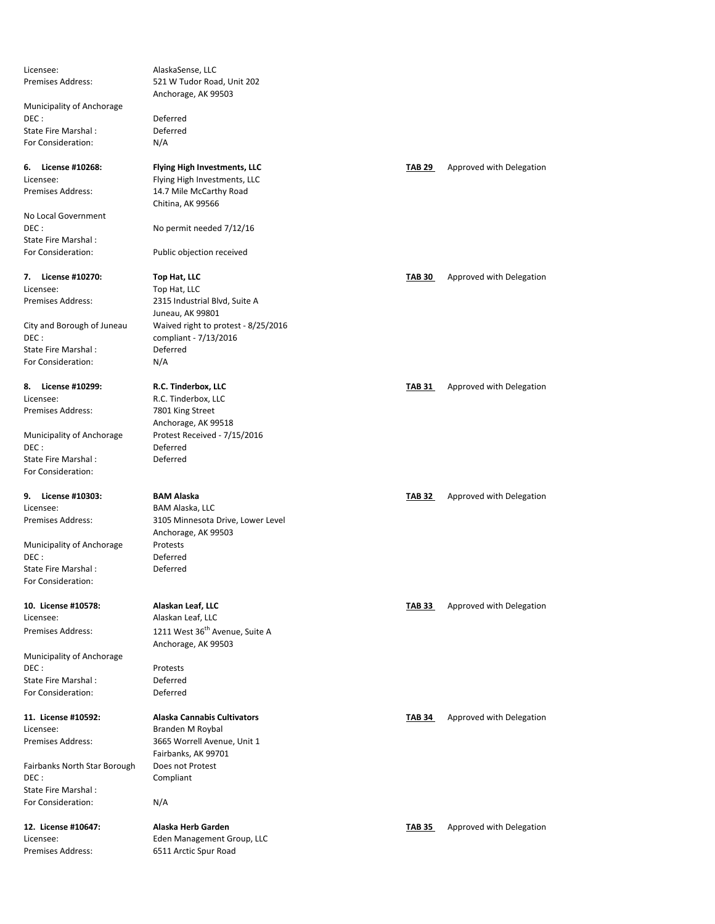Municipality of Anchorage DEC : Deferred State Fire Marshal  $\cdot$ For Consideration: N/A

No Local Government<br>DEC : State Fire Marshal :

**7. License #10270: Top Hat, LLC TAB 30** Approved with Delegation Licensee: Top Hat, LLC

DEC : compliant - 7/13/2016 State Fire Marshal : Deferred For Consideration: N/A

Premises Address: 7801 King Street

DEC :<br>
State Fire Marshal : Deferred<br>
Deferred State Fire Marshal : For Consideration:

Licensee: BAM Alaska, LLC

Municipality of Anchorage Protests DEC : Deferred State Fire Marshal : Deferred For Consideration:

Licensee: Alaskan Leaf, LLC

Municipality of Anchorage DEC : Protests State Fire Marshal : Deferred For Consideration: Deferred

Licensee: Branden M Roybal

Fairbanks North Star Borough Does not Protest DEC : Compliant State Fire Marshal : For Consideration: N/A

Premises Address: 6511 Arctic Spur Road

Licensee: AlaskaSense, LLC<br>Premises Address: 521 W Tudor Roa 521 W Tudor Road, Unit 202 Anchorage, AK 99503

# **6. License #10268:** Flying High Investments, LLC<br>
Licensee: Flying High Investments. LLC<br> **Licensee:** Flying High Investments. LLC

Flying High Investments, LLC Premises Address: 14.7 Mile McCarthy Road Chitina, AK 99566

No permit needed 7/12/16

For Consideration: Public objection received

Premises Address: 2315 Industrial Blvd, Suite A Juneau, AK 99801 City and Borough of Juneau Waived right to protest - 8/25/2016

**8. License #10299: R.C. Tinderbox, LLC TAB 31** Approved with Delegation **TAB 31 Approved with Delegation** R.C. Tinderbox, LLC Anchorage, AK 99518 Municipality of Anchorage Protest Received - 7/15/2016

Premises Address: 3105 Minnesota Drive, Lower Level Anchorage, AK 99503

Premises Address: 1211 West 36<sup>th</sup> Avenue, Suite A Anchorage, AK 99503

Premises Address: 3665 Worrell Avenue, Unit 1 Fairbanks, AK 99701

Licensee: Eden Management Group, LLC

**9. License #10303: BAM Alaska TAB 32** Approved with Delegation

**10. License #10578: Alaskan Leaf, LLC TAB 33** Approved with Delegation

11. License #10592: **Alaska Cannabis Cultivators TAB 34** Approved with Delegation

**12. License #10647: Alaska Herb Garden TAB 35** Approved with Delegation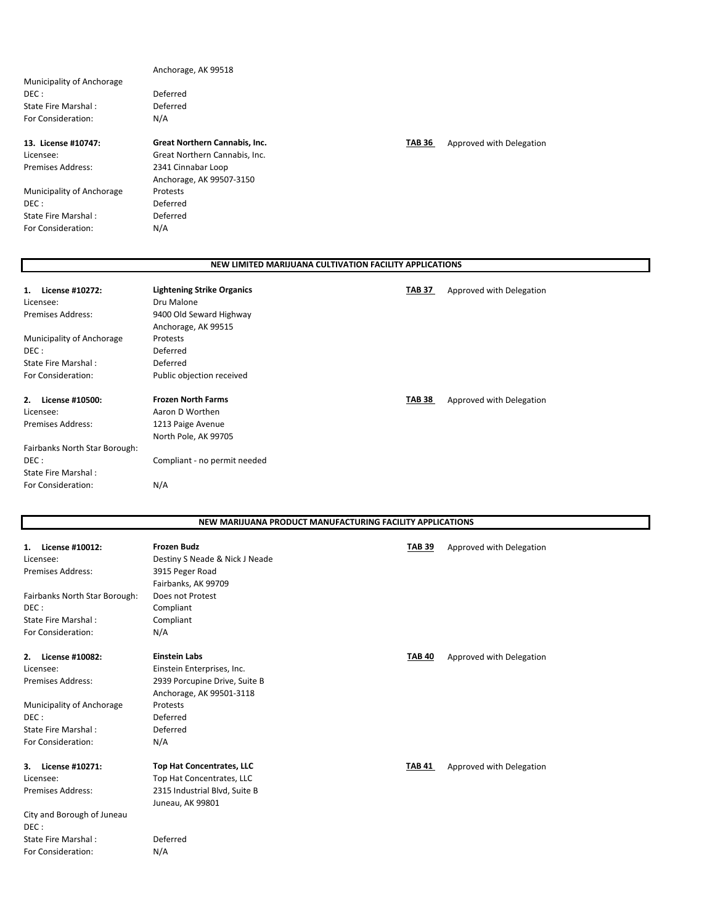| Municipality of Anchorage |  |  |
|---------------------------|--|--|
| DEC :                     |  |  |
| State Fire Marshal:       |  |  |
| For Consideration:        |  |  |

For Consideration:

**13. License #10747: Great Northern Cannabis, Inc. TAB 36** Approved with Delegation Licensee: **Great Northern Cannabis, Inc. Communisty Communisty Communisty** Licensee: Great Northern Cannabis, Inc.<br>
Premises Address: 2341 Cinnabar Loop Municipality of Anchorage<br>DEC : State Fire Marshal : Deferred Consideration: Deferred Constants and Deferred Constants and Deferred Constants <br>Political in the Deferred Consideration: Deferred Consideration:

2341 Cinnabar Loop Anchorage, AK 99507-3150 Deferred<br>Deferred

Anchorage, AK 99518

Deferred Deferred<br>N/A

### **NEW LIMITED MARIJUANA CULTIVATION FACILITY APPLICATIONS**

| <b>Lightening Strike Organics</b><br>Dru Malone<br>9400 Old Seward Highway                | <b>TAB 37</b>                          | Approved with Delegation |
|-------------------------------------------------------------------------------------------|----------------------------------------|--------------------------|
| Protests<br>Deferred                                                                      |                                        |                          |
| Public objection received                                                                 |                                        |                          |
| <b>Frozen North Farms</b><br>Aaron D Worthen<br>1213 Paige Avenue<br>North Pole, AK 99705 | <b>TAB 38</b>                          | Approved with Delegation |
| Compliant - no permit needed                                                              |                                        |                          |
|                                                                                           | Anchorage, AK 99515<br>Deferred<br>N/A |                          |

| NEW MARIJUANA PRODUCT MANUFACTURING FACILITY APPLICATIONS |                                  |               |                          |
|-----------------------------------------------------------|----------------------------------|---------------|--------------------------|
|                                                           |                                  |               |                          |
| License #10012:<br>1.                                     | <b>Frozen Budz</b>               | <b>TAB 39</b> | Approved with Delegation |
| Licensee:                                                 | Destiny S Neade & Nick J Neade   |               |                          |
| <b>Premises Address:</b>                                  | 3915 Peger Road                  |               |                          |
|                                                           | Fairbanks, AK 99709              |               |                          |
| Fairbanks North Star Borough:                             | Does not Protest                 |               |                          |
| DEC:                                                      | Compliant                        |               |                          |
| State Fire Marshal:                                       | Compliant                        |               |                          |
| For Consideration:                                        | N/A                              |               |                          |
| 2. License #10082:                                        | <b>Einstein Labs</b>             | <b>TAB 40</b> | Approved with Delegation |
| Licensee:                                                 | Einstein Enterprises, Inc.       |               |                          |
| <b>Premises Address:</b>                                  | 2939 Porcupine Drive, Suite B    |               |                          |
|                                                           | Anchorage, AK 99501-3118         |               |                          |
| Municipality of Anchorage                                 | Protests                         |               |                          |
| DEC:                                                      | Deferred                         |               |                          |
| State Fire Marshal:                                       | Deferred                         |               |                          |
| For Consideration:                                        | N/A                              |               |                          |
| 3. License #10271:                                        | <b>Top Hat Concentrates, LLC</b> | <b>TAB 41</b> | Approved with Delegation |
| Licensee:                                                 | Top Hat Concentrates, LLC        |               |                          |
| <b>Premises Address:</b>                                  | 2315 Industrial Blvd, Suite B    |               |                          |
|                                                           | Juneau, AK 99801                 |               |                          |
| City and Borough of Juneau                                |                                  |               |                          |
| DEC:                                                      |                                  |               |                          |
| State Fire Marshal:                                       | Deferred                         |               |                          |
| For Consideration:                                        | N/A                              |               |                          |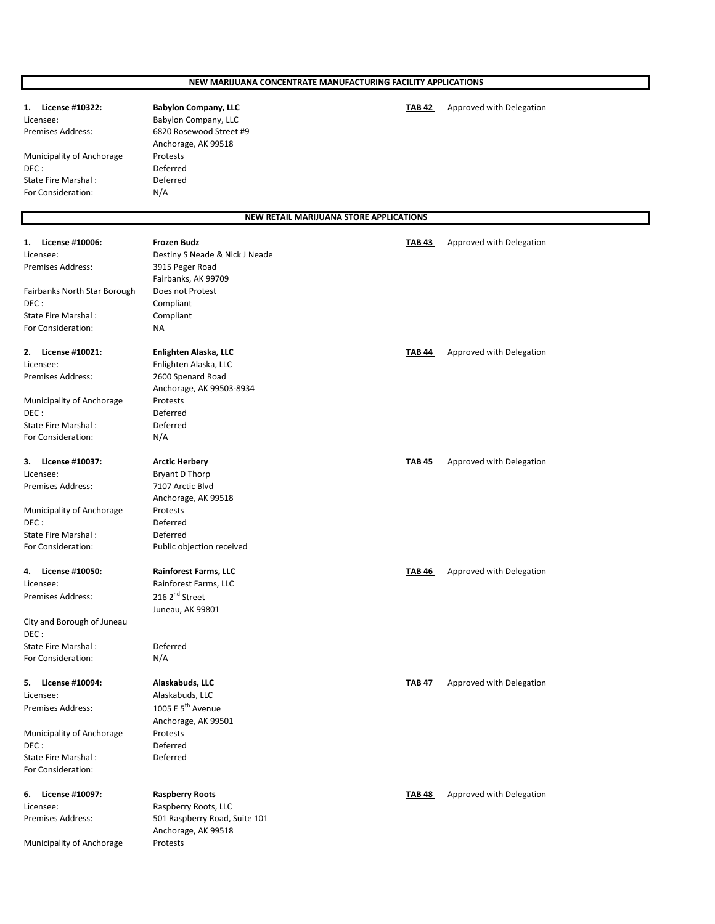**1. License #10322: Babylon Company, LLC TAB 42** Approved with Delegation Licensee: Babylon Company, LLC Premises Address: 6820 Rosewood Street #9 Anchorage, AK 99518 Municipality of Anchorage Protests DEC : Deferred State Fire Marshal : Deferred For Consideration: N/A 1. License #10006: Frozen Budz<br>
Frozen Budz<br> **1. License #10006:** Frozen Budz<br> **TAB 43** Approved with Delegation Licensee: Destiny S Neade & Nick J Neade Premises Address: 3915 Peger Road Fairbanks, AK 99709 Fairbanks North Star Borough Does not Protest DEC : Compliant State Fire Marshal : Compliant For Consideration: NA **2. License #10021: Enlighten Alaska, LLC TAB 44** Approved with Delegation Licensee: Enlighten Alaska, LLC Premises Address: 2600 Spenard Road Anchorage, AK 99503-8934 Municipality of Anchorage Protests DEC :<br>
State Fire Marshal : Deferred State Fire Marshal : For Consideration: N/A **3. License #10037: Arctic Herbery TAB 45** Approved with Delegation Licensee: Bryant D Thorp Premises Address: 7107 Arctic Blvd Anchorage, AK 99518 Municipality of Anchorage Protests DEC : Deferred State Fire Marshal : Deferred For Consideration: Public objection received **4. License #10050: Rainforest Farms, LLC TAB 46** Approved with Delegation Licensee: Rainforest Farms, LLC Premises Address: 216 2<sup>nd</sup> Street Juneau, AK 99801 City and Borough of Juneau DEC : State Fire Marshal : Deferred For Consideration: N/A **5. License #10094: Alaskabuds, LLC TAB 47** Approved with Delegation Licensee: Alaskabuds, LLC Premises Address: 1005 E 5<sup>th</sup> Avenue Anchorage, AK 99501 Municipality of Anchorage Protests DEC : Deferred State Fire Marshal : Deferred For Consideration: **6. License #10097: Raspberry Roots TAB 48** Approved with Delegation Licensee: Raspberry Roots, LLC Premises Address: 501 Raspberry Road, Suite 101 Anchorage, AK 99518 Municipality of Anchorage Protests **NEW MARIJUANA CONCENTRATE MANUFACTURING FACILITY APPLICATIONS NEW RETAIL MARIJUANA STORE APPLICATIONS**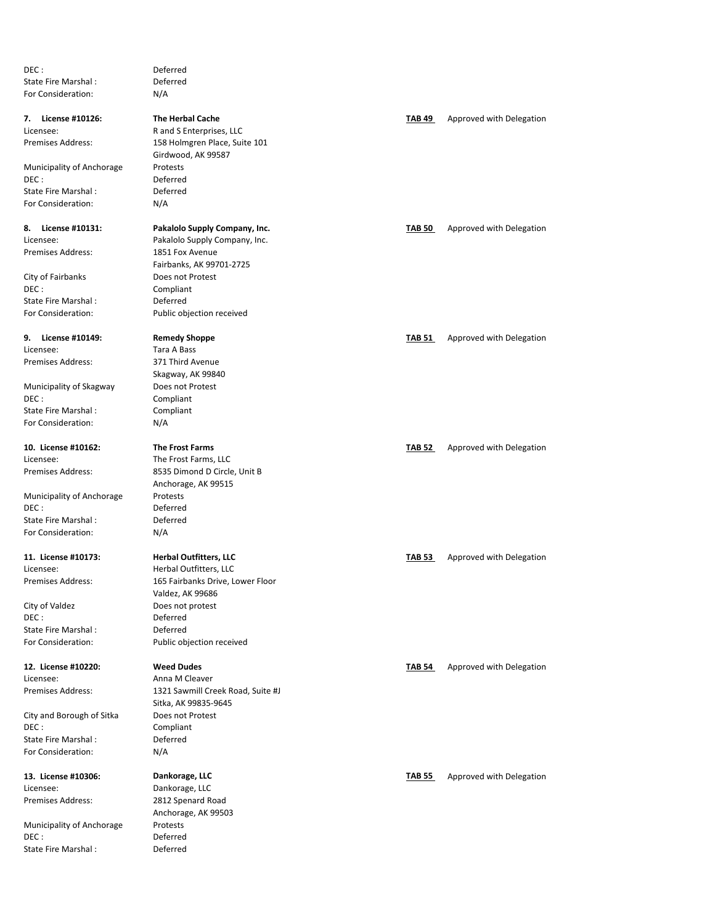DEC :<br>State Fire Marshal : Deferred State Fire Marshal  $\cdot$ For Consideration: N/A

Licensee: R and S Enterprises, LLC<br>Premises Address: 158 Holmgren Place, Sui

Municipality of Anchorage<br>DEC: State Fire Marshal : Deferred For Consideration: N/A

Premises Address: 1851 Fox Avenue

DEC : Compliant State Fire Marshal : Deferred

Licensee: Tara A Bass Premises Address: 371 Third Avenue

Municipality of Skagway Does not Protest DEC : Compliant State Fire Marshal : Compliant For Consideration: N/A

Licensee: The Frost Farms, LLC<br>Premises Address: The SS35 Dimond D Circle

Municipality of Anchorage DEC : Deferred State Fire Marshal : Deferred For Consideration: N/A

Licensee: Herbal Outfitters, LLC

City of Valdez Does not protest DEC : Deferred State Fire Marshal : Deferred<br>
For Consideration: Public ob

City and Borough of Sitka Does not Protest DEC : Compliant State Fire Marshal : Deferred For Consideration: N/A

Licensee: Dankorage, LLC Premises Address: 2812 Spenard Road

Municipality of Anchorage Protests DEC : Deferred State Fire Marshal : Deferred

**7. License #10126:** The Herbal Cache **TAB 49** Approved with Delegation

158 Holmgren Place, Suite 101 Girdwood, AK 99587<br>Protests Deferred

**8. License #10131: Pakalolo Supply Company, Inc.** TAB 50 Approved with Delegation Licensee: Pakalolo Supply Company, Inc. Pakalolo Supply Company, Inc. Fairbanks, AK 99701-2725 City of Fairbanks Does not Protest For Consideration: Public objection received

Skagway, AK 99840

8535 Dimond D Circle, Unit B Anchorage, AK 99515

Premises Address: 165 Fairbanks Drive, Lower Floor Valdez, AK 99686 Public objection received

Licensee: Anna M Cleaver Premises Address: 1321 Sawmill Creek Road, Suite #J Sitka, AK 99835-9645

Anchorage, AK 99503

**9. License #10149: Remedy Shoppe TAB 51** Approved with Delegation

**10. License #10162:** The Frost Farms **TAB 52** Approved with Delegation

**11.** License #10173: **Herbal Outfitters, LLC TAB 53** Approved with Delegation

**12. License #10220: Weed Dudes TAB 54** Approved with Delegation

**13. License #10306: Dankorage, LLC TAB 55** Approved with Delegation